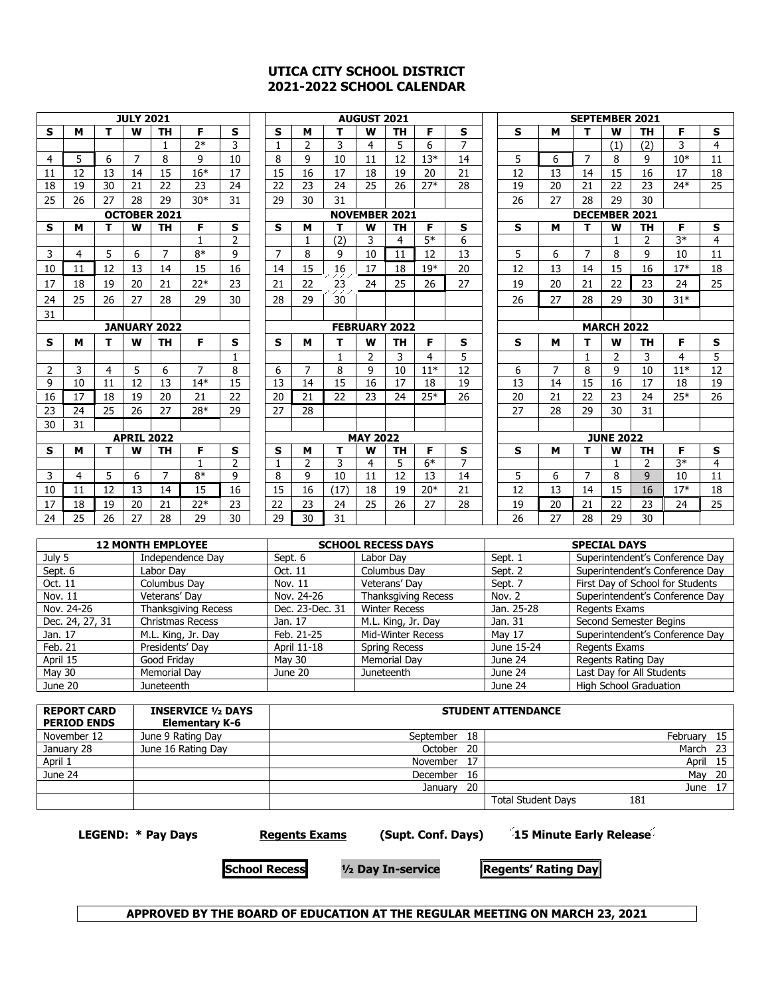#### **UTICA CITY SCHOOL DISTRICT 2021-2022 SCHOOL CALENDAR**

| <b>JULY 2021</b> |          |          |                   |                     |              |                |                | <b>AUGUST 2021</b>   |              |                 |           |       |                      | <b>SEPTEMBER 2021</b> |          |                |                  |               |       |    |
|------------------|----------|----------|-------------------|---------------------|--------------|----------------|----------------|----------------------|--------------|-----------------|-----------|-------|----------------------|-----------------------|----------|----------------|------------------|---------------|-------|----|
| S                | м        | т        | W                 | <b>TH</b>           | F            | s              | S              | м                    | т            | W               | TН        | F     | s                    | S                     | м        | т              | W                | <b>TH</b>     | F     | s  |
|                  |          |          |                   | 1                   | $7*$         | 3              | 1              | 2                    | 3            | 4               | 5         | 6     | 7                    |                       |          |                | (1)              | (2)           | 3     | 4  |
| 4                | 5        | 6        | 7                 | 8                   | q            | 10             | 8              | 9                    | 10           | 11              | 12        | $13*$ | 14                   | 5                     | 6        | 7              | 8                | 9             | $10*$ | 11 |
| 11               | 12       | 13       | 14                | 15                  | $16*$        | 17             | 15             | 16                   | 17           | 18              | 19        | 20    | 21                   | 12                    | 13       | 14             | 15               | 16            | 17    | 18 |
| 18               | 19       | 30       | 21                | 22                  | 23           | 24             | 22             | 23                   | 24           | 25              | 26        | $27*$ | 28                   | 19                    | 20       | 21             | 22               | 23            | $24*$ | 25 |
| 25               | 26       | 27       | 28                | 29                  | $30*$        | 31             | 29             | 30                   | 31           |                 |           |       |                      | 26                    | 27       | 28             | 29               | 30            |       |    |
|                  |          |          |                   | <b>OCTOBER 2021</b> |              |                |                | <b>NOVEMBER 2021</b> |              |                 |           |       | <b>DECEMBER 2021</b> |                       |          |                |                  |               |       |    |
| s                | м        | T.       | W                 | <b>TH</b>           | F            | S              | S              | м                    | т            | W               | <b>TH</b> | F.    | S                    | S                     | м        | т              | W                | <b>TH</b>     | F     | S  |
|                  |          |          |                   |                     | $\mathbf{1}$ | $\overline{2}$ |                | $\mathbf{1}$         | (2)          | 3               | 4         | $5*$  | 6                    |                       |          |                | 1                | $\mathcal{P}$ | $3*$  | 4  |
| 3                | 4        | 5        | 6                 | $\overline{7}$      | $8*$         | 9              | $\overline{7}$ | 8                    | 9            | 10              | 11        | 12    | 13                   | 5                     | 6        | $\overline{7}$ | 8                | 9             | 10    | 11 |
| 10               | 11       | 12       | 13                | 14                  | 15           | 16             | 14             | 15                   | 16           | 17              | 18        | $19*$ | 20                   | 12                    | 13       | 14             | 15               | 16            | $17*$ | 18 |
| 17               | 18       | 19       | 20                | 21                  | $22*$        | 23             | 21             | 22                   | 23           | 24              | 25        | 26    | 27                   | 19                    | 20       | 21             | 22               | 23            | 24    | 25 |
| 24               | 25       | 26       | 27                | 28                  | 29           | 30             | 28             | 29                   | 30           |                 |           |       |                      | 26                    | 27       | 28             | 29               | 30            | $31*$ |    |
| 31               |          |          |                   |                     |              |                |                |                      |              |                 |           |       |                      |                       |          |                |                  |               |       |    |
|                  |          |          |                   | <b>JANUARY 2022</b> |              |                |                | <b>FEBRUARY 2022</b> |              |                 |           |       |                      | <b>MARCH 2022</b>     |          |                |                  |               |       |    |
| S                | м        | т        | W                 | <b>TH</b>           | F            | s              | S              | м                    | т            | W               | <b>TH</b> | F     | S                    | S                     | м        | т              | W                | <b>TH</b>     | F     | S  |
|                  |          |          |                   |                     |              |                |                |                      |              |                 |           |       |                      |                       |          |                |                  |               |       |    |
|                  |          |          |                   |                     |              | $\mathbf{1}$   |                |                      | $\mathbf{1}$ | 2               | 3         | 4     | 5                    |                       |          | $\mathbf{1}$   | 2                | 3             | 4     | 5  |
| 2                | 3        | 4        | 5                 | 6                   | 7            | 8              | 6              | 7                    | 8            | 9               | 10        | $11*$ | 12                   | 6                     | 7        | 8              | 9                | 10            | $11*$ | 12 |
| 9                | 10       | 11       | 12                | 13                  | $14*$        | 15             | 13             | 14                   | 15           | 16              | 17        | 18    | 19                   | 13                    | 14       | 15             | 16               | 17            | 18    | 19 |
| 16               | 17       | 18       | 19                | 20                  | 21           | 22             | 20             | 21                   | 22           | 23              | 24        | $25*$ | 26                   | 20                    | 21       | 22             | 23               | 24            | $25*$ | 26 |
| 23               | 24       | 25       | 26                | 27                  | $28*$        | 29             | 27             | 28                   |              |                 |           |       |                      | 27                    | 28       | 29             | 30               | 31            |       |    |
| 30               | 31       |          |                   |                     |              |                |                |                      |              |                 |           |       |                      |                       |          |                |                  |               |       |    |
|                  |          |          | <b>APRIL 2022</b> |                     |              |                |                |                      |              | <b>MAY 2022</b> |           |       |                      |                       |          |                | <b>JUNE 2022</b> |               |       |    |
| s                | м        | т        | W                 | <b>TH</b>           | F.           | S              | S              | м                    | т            | W               | <b>TH</b> | F.    | S                    | S                     | м        | т              | W                | <b>TH</b>     | F     | S  |
|                  |          |          |                   |                     | $\mathbf{1}$ | $\overline{2}$ | 1              | $\overline{2}$       | 3            | 4               | 5         | $6*$  | $\overline{7}$       |                       |          |                | 1                | $\mathcal{P}$ | $3*$  | 4  |
| 3                | 4        | 5        | 6                 | 7                   | $8*$         | 9              | 8              | 9                    | 10           | 11              | 12        | 13    | 14                   | 5                     | 6        | 7              | 8                | $\mathbf{q}$  | 10    | 11 |
| 10               | 11       | 12       | 13                | 14                  | 15           | 16             | 15             | 16                   | (17)         | 18              | 19        | $20*$ | 21                   | 12                    | 13       | 14             | 15               | 16            | $17*$ | 18 |
| 17<br>24         | 18<br>25 | 19<br>26 | 20<br>27          | 21<br>28            | $22*$<br>29  | 23<br>30       | 22<br>29       | 23<br>30             | 24<br>31     | 25              | 26        | 27    | 28                   | 19<br>26              | 20<br>27 | 21<br>28       | 22<br>29         | 23<br>30      | 24    | 25 |

|                 | <b>12 MONTH EMPLOYEE</b>   |                 | <b>SCHOOL RECESS DAYS</b>  | <b>SPECIAL DAYS</b> |                                  |  |  |
|-----------------|----------------------------|-----------------|----------------------------|---------------------|----------------------------------|--|--|
| July 5          | Independence Day           | Sept. 6         | Labor Dav                  | Sept. 1             | Superintendent's Conference Day  |  |  |
| Sept. 6         | Labor Dav                  | Oct. 11         | Columbus Day               | Sept. 2             | Superintendent's Conference Day  |  |  |
| Oct. 11         | Columbus Dav               | Nov. 11         | Veterans' Day              | Sept. 7             | First Day of School for Students |  |  |
| Nov. 11         | Veterans' Day              | Nov. 24-26      | <b>Thanksgiving Recess</b> | Nov. 2              | Superintendent's Conference Day  |  |  |
| Nov. 24-26      | <b>Thanksgiving Recess</b> | Dec. 23-Dec. 31 | <b>Winter Recess</b>       | Jan. 25-28          | Regents Exams                    |  |  |
| Dec. 24, 27, 31 | Christmas Recess           | Jan. 17         | M.L. King, Jr. Day         | Jan. 31             | Second Semester Begins           |  |  |
| Jan. 17         | M.L. King, Jr. Day         | Feb. 21-25      | <b>Mid-Winter Recess</b>   | May 17              | Superintendent's Conference Day  |  |  |
| Feb. 21         | Presidents' Day            | April 11-18     | <b>Spring Recess</b>       | June 15-24          | Regents Exams                    |  |  |
| April 15        | Good Fridav                | May 30          | Memorial Dav               | June 24             | Regents Rating Day               |  |  |
| May 30          | Memorial Day               | June 20         | <b>Juneteenth</b>          | June 24             | Last Day for All Students        |  |  |
| June 20         | <b>Juneteenth</b>          |                 |                            | June 24             | High School Graduation           |  |  |

| <b>REPORT CARD</b><br><b>PERIOD ENDS</b> | <b>INSERVICE 1/2 DAYS</b><br><b>Elementary K-6</b> |                 | <b>STUDENT ATTENDANCE</b>        |
|------------------------------------------|----------------------------------------------------|-----------------|----------------------------------|
| November 12                              | June 9 Rating Day                                  | 18<br>September | 15<br>February                   |
| January 28                               | June 16 Rating Day                                 | October<br>20   | 23<br>March                      |
| April 1                                  |                                                    | November<br>17  | April<br>15                      |
| June 24                                  |                                                    | December<br>16  | 20<br>Mav                        |
|                                          |                                                    | 20<br>Januarv   | 17<br>June                       |
|                                          |                                                    |                 | <b>Total Student Days</b><br>181 |

**LEGEND: \* Pay Days Manual Regents Exams (Supt. Conf. Days) 15 Minute Early Release** 

**School Recess ½ Day In-service Regents' Rating Day**

**APPROVED BY THE BOARD OF EDUCATION AT THE REGULAR MEETING ON MARCH 23, 2021**